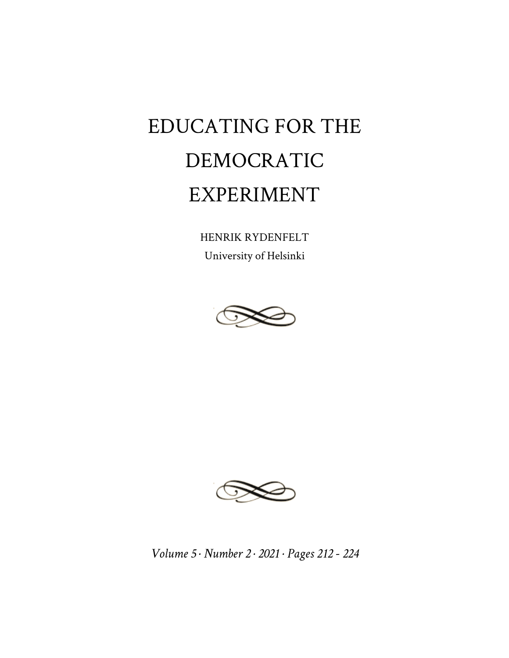## EDUCATING FOR THE DEMOCRATIC EXPERIMENT

HENRIK RYDENFELT University of Helsinki





*Volume 5 · Number 2 · 2021 · Pages 212 - 224*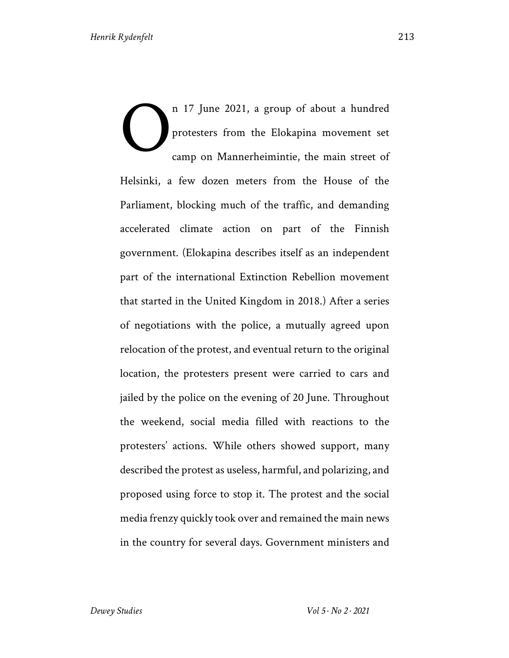n 17 June 2021, a group of about a hundred protesters from the Elokapina movement set camp on Mannerheimintie, the main street of Helsinki, a few dozen meters from the House of the Parliament, blocking much of the traffic, and demanding accelerated climate action on part of the Finnish government. (Elokapina describes itself as an independent part of the international Extinction Rebellion movement that started in the United Kingdom in 2018.) After a series of negotiations with the police, a mutually agreed upon relocation of the protest, and eventual return to the original location, the protesters present were carried to cars and jailed by the police on the evening of 20 June. Throughout the weekend, social media filled with reactions to the protesters' actions. While others showed support, many described the protest as useless, harmful, and polarizing, and proposed using force to stop it. The protest and the social media frenzy quickly took over and remained the main news in the country for several days. Government ministers and O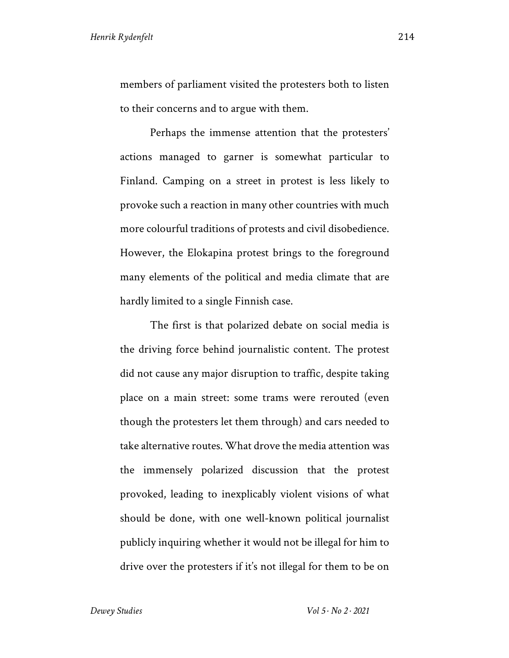members of parliament visited the protesters both to listen to their concerns and to argue with them.

Perhaps the immense attention that the protesters' actions managed to garner is somewhat particular to Finland. Camping on a street in protest is less likely to provoke such a reaction in many other countries with much more colourful traditions of protests and civil disobedience. However, the Elokapina protest brings to the foreground many elements of the political and media climate that are hardly limited to a single Finnish case.

The first is that polarized debate on social media is the driving force behind journalistic content. The protest did not cause any major disruption to traffic, despite taking place on a main street: some trams were rerouted (even though the protesters let them through) and cars needed to take alternative routes. What drove the media attention was the immensely polarized discussion that the protest provoked, leading to inexplicably violent visions of what should be done, with one well-known political journalist publicly inquiring whether it would not be illegal for him to drive over the protesters if it's not illegal for them to be on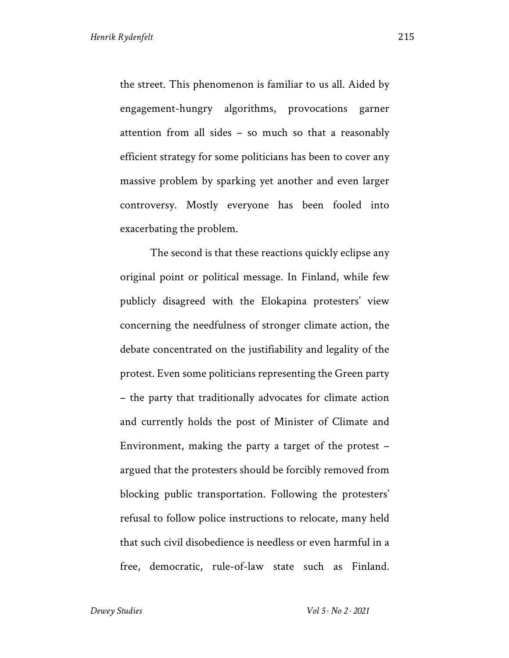the street. This phenomenon is familiar to us all. Aided by engagement-hungry algorithms, provocations garner attention from all sides – so much so that a reasonably efficient strategy for some politicians has been to cover any massive problem by sparking yet another and even larger controversy. Mostly everyone has been fooled into exacerbating the problem.

The second is that these reactions quickly eclipse any original point or political message. In Finland, while few publicly disagreed with the Elokapina protesters' view concerning the needfulness of stronger climate action, the debate concentrated on the justifiability and legality of the protest. Even some politicians representing the Green party – the party that traditionally advocates for climate action and currently holds the post of Minister of Climate and Environment, making the party a target of the protest – argued that the protesters should be forcibly removed from blocking public transportation. Following the protesters' refusal to follow police instructions to relocate, many held that such civil disobedience is needless or even harmful in a free, democratic, rule-of-law state such as Finland.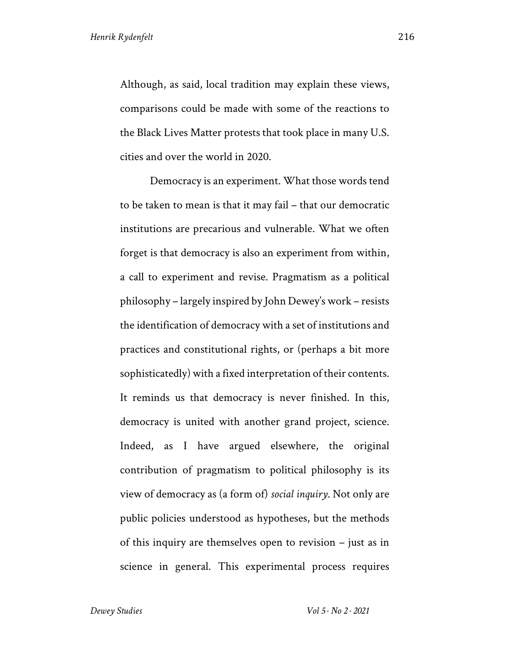Although, as said, local tradition may explain these views, comparisons could be made with some of the reactions to the Black Lives Matter protests that took place in many U.S. cities and over the world in 2020.

Democracy is an experiment. What those words tend to be taken to mean is that it may fail – that our democratic institutions are precarious and vulnerable. What we often forget is that democracy is also an experiment from within, a call to experiment and revise. Pragmatism as a political philosophy – largely inspired by John Dewey's work – resists the identification of democracy with a set of institutions and practices and constitutional rights, or (perhaps a bit more sophisticatedly) with a fixed interpretation of their contents. It reminds us that democracy is never finished. In this, democracy is united with another grand project, science. Indeed, as I have argued elsewhere, the original contribution of pragmatism to political philosophy is its view of democracy as (a form of) *social inquiry*. Not only are public policies understood as hypotheses, but the methods of this inquiry are themselves open to revision – just as in science in general. This experimental process requires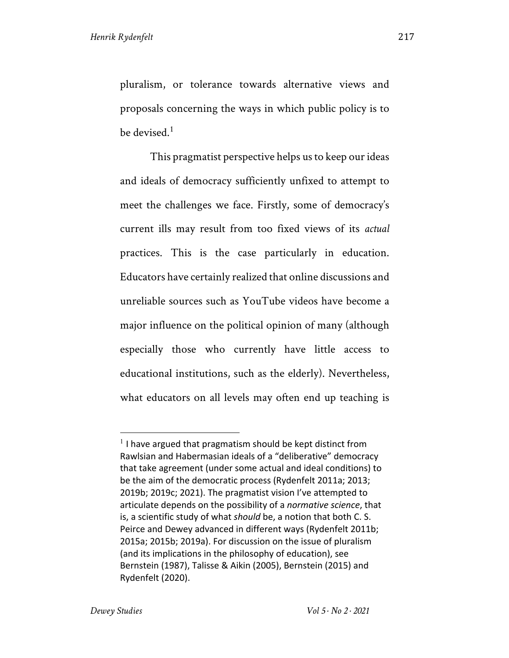pluralism, or tolerance towards alternative views and proposals concerning the ways in which public policy is to be devised. $1$ 

This pragmatist perspective helps us to keep our ideas and ideals of democracy sufficiently unfixed to attempt to meet the challenges we face. Firstly, some of democracy's current ills may result from too fixed views of its *actual*  practices. This is the case particularly in education. Educators have certainly realized that online discussions and unreliable sources such as YouTube videos have become a major influence on the political opinion of many (although especially those who currently have little access to educational institutions, such as the elderly). Nevertheless, what educators on all levels may often end up teaching is

 $1$  I have argued that pragmatism should be kept distinct from Rawlsian and Habermasian ideals of a "deliberative" democracy that take agreement (under some actual and ideal conditions) to be the aim of the democratic process (Rydenfelt 2011a; 2013; 2019b; 2019c; 2021). The pragmatist vision I've attempted to articulate depends on the possibility of a *normative science*, that is, a scientific study of what *should* be, a notion that both C. S. Peirce and Dewey advanced in different ways (Rydenfelt 2011b; 2015a; 2015b; 2019a). For discussion on the issue of pluralism (and its implications in the philosophy of education), see Bernstein (1987), Talisse & Aikin (2005), Bernstein (2015) and Rydenfelt (2020).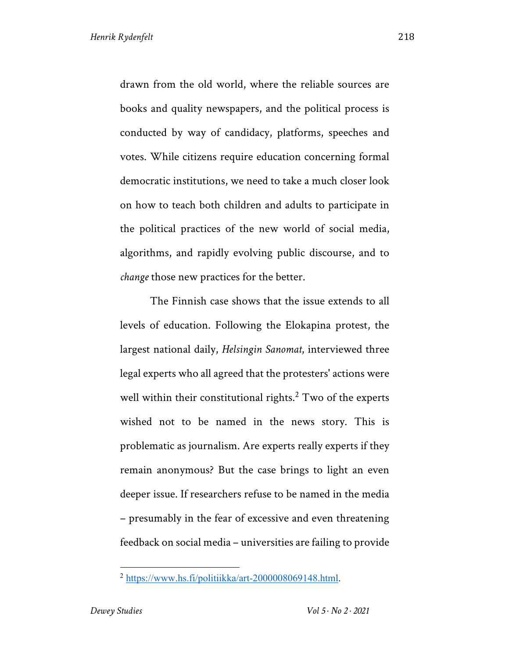drawn from the old world, where the reliable sources are books and quality newspapers, and the political process is conducted by way of candidacy, platforms, speeches and votes. While citizens require education concerning formal democratic institutions, we need to take a much closer look on how to teach both children and adults to participate in the political practices of the new world of social media, algorithms, and rapidly evolving public discourse, and to *change* those new practices for the better.

The Finnish case shows that the issue extends to all levels of education. Following the Elokapina protest, the largest national daily, *Helsingin Sanomat*, interviewed three legal experts who all agreed that the protesters' actions were well within their constitutional rights. $<sup>2</sup>$  Two of the experts</sup> wished not to be named in the news story. This is problematic as journalism. Are experts really experts if they remain anonymous? But the case brings to light an even deeper issue. If researchers refuse to be named in the media – presumably in the fear of excessive and even threatening feedback on social media – universities are failing to provide

<sup>2</sup> https://www.hs.fi/politiikka/art-2000008069148.html.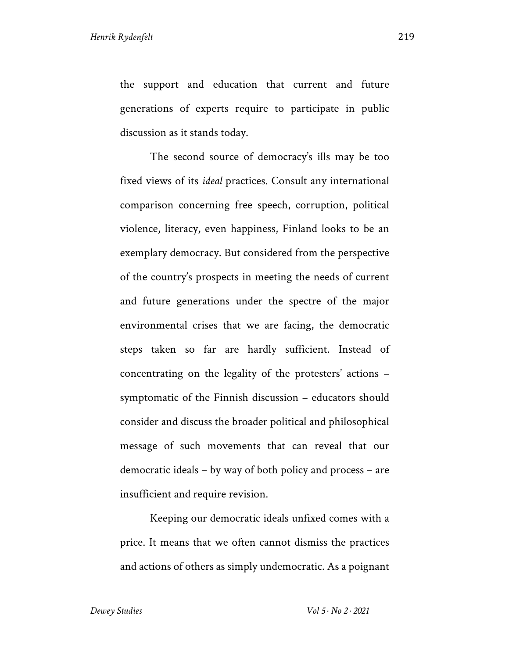the support and education that current and future generations of experts require to participate in public discussion as it stands today.

The second source of democracy's ills may be too fixed views of its *ideal* practices. Consult any international comparison concerning free speech, corruption, political violence, literacy, even happiness, Finland looks to be an exemplary democracy. But considered from the perspective of the country's prospects in meeting the needs of current and future generations under the spectre of the major environmental crises that we are facing, the democratic steps taken so far are hardly sufficient. Instead of concentrating on the legality of the protesters' actions – symptomatic of the Finnish discussion – educators should consider and discuss the broader political and philosophical message of such movements that can reveal that our democratic ideals – by way of both policy and process – are insufficient and require revision.

Keeping our democratic ideals unfixed comes with a price. It means that we often cannot dismiss the practices and actions of others as simply undemocratic. As a poignant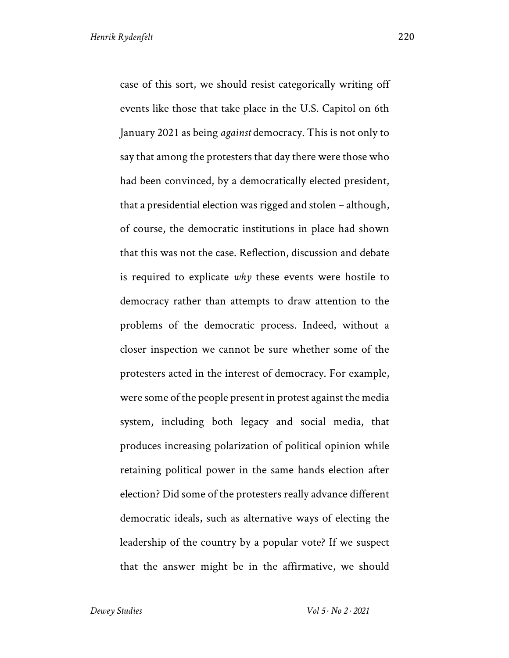case of this sort, we should resist categorically writing off events like those that take place in the U.S. Capitol on 6th January 2021 as being *against* democracy. This is not only to say that among the protesters that day there were those who had been convinced, by a democratically elected president, that a presidential election was rigged and stolen – although, of course, the democratic institutions in place had shown that this was not the case. Reflection, discussion and debate is required to explicate *why* these events were hostile to democracy rather than attempts to draw attention to the problems of the democratic process. Indeed, without a closer inspection we cannot be sure whether some of the protesters acted in the interest of democracy. For example, were some of the people present in protest against the media system, including both legacy and social media, that produces increasing polarization of political opinion while retaining political power in the same hands election after election? Did some of the protesters really advance different democratic ideals, such as alternative ways of electing the leadership of the country by a popular vote? If we suspect

that the answer might be in the affirmative, we should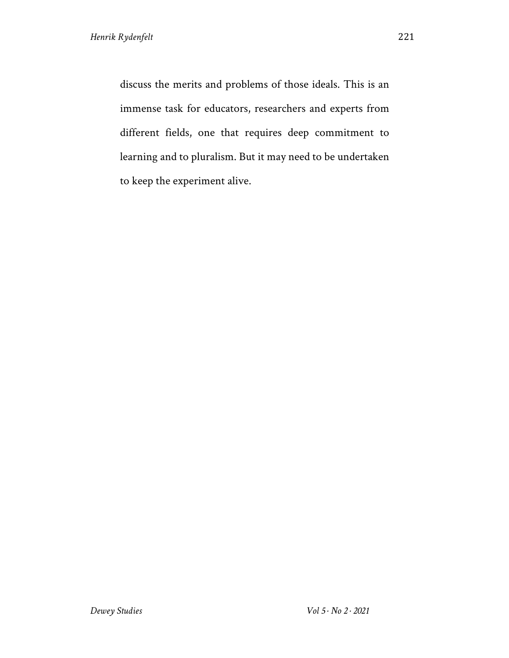discuss the merits and problems of those ideals. This is an immense task for educators, researchers and experts from different fields, one that requires deep commitment to learning and to pluralism. But it may need to be undertaken to keep the experiment alive.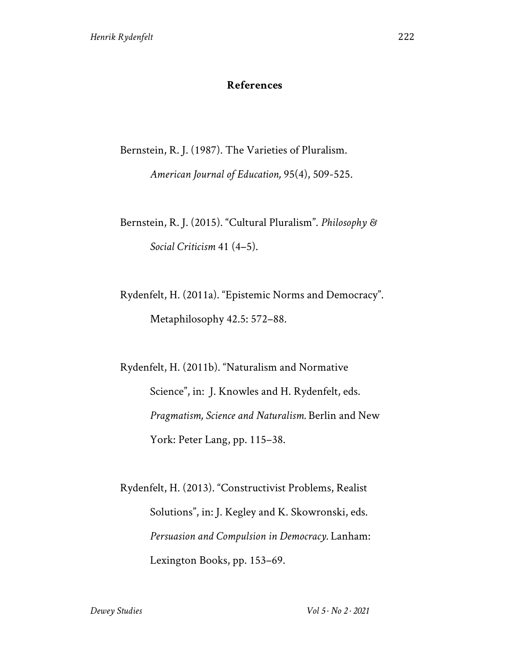## **References**

Bernstein, R. J. (1987). The Varieties of Pluralism.

*American Journal of Education,* 95(4), 509-525.

Bernstein, R. J. (2015). "Cultural Pluralism". *Philosophy & Social Criticism* 41 (4–5).

Rydenfelt, H. (2011a). "Epistemic Norms and Democracy". Metaphilosophy 42.5: 572–88.

Rydenfelt, H. (2011b). "Naturalism and Normative Science", in: J. Knowles and H. Rydenfelt, eds. *Pragmatism, Science and Naturalism.* Berlin and New York: Peter Lang, pp. 115–38.

Rydenfelt, H. (2013). "Constructivist Problems, Realist Solutions", in: J. Kegley and K. Skowronski, eds. *Persuasion and Compulsion in Democracy.* Lanham: Lexington Books, pp. 153–69.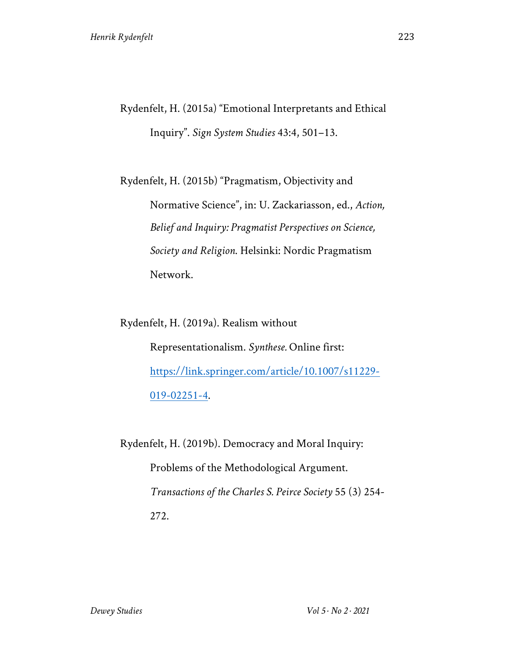Rydenfelt, H. (2015a) "Emotional Interpretants and Ethical Inquiry". *Sign System Studies* 43:4, 501–13.

Rydenfelt, H. (2015b) "Pragmatism, Objectivity and Normative Science", in: U. Zackariasson, ed., *Action, Belief and Inquiry: Pragmatist Perspectives on Science, Society and Religion*. Helsinki: Nordic Pragmatism Network.

Rydenfelt, H. (2019a). Realism without Representationalism. *Synthese.* Online first: https://link.springer.com/article/10.1007/s11229- 019-02251-4.

Rydenfelt, H. (2019b). Democracy and Moral Inquiry: Problems of the Methodological Argument. *Transactions of the Charles S. Peirce Society* 55 (3) 254- 272.